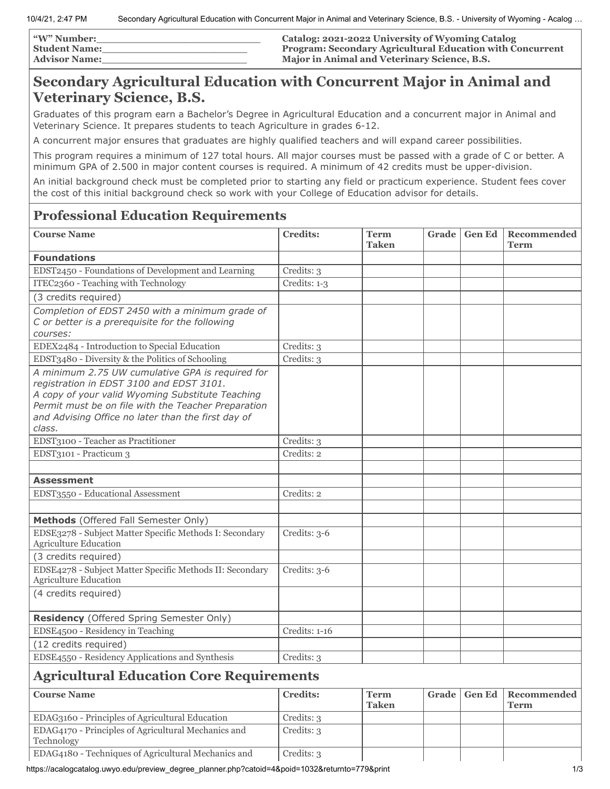| "W" Number:   | Catalog: 2021-2022 University of Wyoming Catalog                 |
|---------------|------------------------------------------------------------------|
| Student Name: | <b>Program: Secondary Agricultural Education with Concurrent</b> |
| Advisor Name: | <b>Major in Animal and Veterinary Science, B.S.</b>              |

## **Secondary Agricultural Education with Concurrent Major in Animal and Veterinary Science, B.S.**

Graduates of this program earn a Bachelor's Degree in Agricultural Education and a concurrent major in Animal and Veterinary Science. It prepares students to teach Agriculture in grades 6-12.

A concurrent major ensures that graduates are highly qualified teachers and will expand career possibilities.

This program requires a minimum of 127 total hours. All major courses must be passed with a grade of C or better. A minimum GPA of 2.500 in major content courses is required. A minimum of 42 credits must be upper-division.

An initial background check must be completed prior to starting any field or practicum experience. Student fees cover the cost of this initial background check so work with your College of Education advisor for details.

## **Professional Education Requirements**

| <b>Course Name</b>                                                                           | <b>Credits:</b> | <b>Term</b><br><b>Taken</b> | Grade |               | <b>Gen Ed   Recommended</b><br>Term |
|----------------------------------------------------------------------------------------------|-----------------|-----------------------------|-------|---------------|-------------------------------------|
| <b>Foundations</b>                                                                           |                 |                             |       |               |                                     |
| EDST2450 - Foundations of Development and Learning                                           | Credits: 3      |                             |       |               |                                     |
| ITEC2360 - Teaching with Technology                                                          | Credits: 1-3    |                             |       |               |                                     |
| (3 credits required)                                                                         |                 |                             |       |               |                                     |
| Completion of EDST 2450 with a minimum grade of                                              |                 |                             |       |               |                                     |
| C or better is a prerequisite for the following                                              |                 |                             |       |               |                                     |
| courses:                                                                                     |                 |                             |       |               |                                     |
| EDEX2484 - Introduction to Special Education                                                 | Credits: 3      |                             |       |               |                                     |
| EDST3480 - Diversity & the Politics of Schooling                                             | Credits: 3      |                             |       |               |                                     |
| A minimum 2.75 UW cumulative GPA is required for                                             |                 |                             |       |               |                                     |
| registration in EDST 3100 and EDST 3101.<br>A copy of your valid Wyoming Substitute Teaching |                 |                             |       |               |                                     |
| Permit must be on file with the Teacher Preparation                                          |                 |                             |       |               |                                     |
| and Advising Office no later than the first day of                                           |                 |                             |       |               |                                     |
| class.                                                                                       |                 |                             |       |               |                                     |
| EDST3100 - Teacher as Practitioner                                                           | Credits: 3      |                             |       |               |                                     |
| EDST3101 - Practicum 3                                                                       | Credits: 2      |                             |       |               |                                     |
|                                                                                              |                 |                             |       |               |                                     |
| <b>Assessment</b>                                                                            |                 |                             |       |               |                                     |
| EDST3550 - Educational Assessment                                                            | Credits: 2      |                             |       |               |                                     |
|                                                                                              |                 |                             |       |               |                                     |
| Methods (Offered Fall Semester Only)                                                         |                 |                             |       |               |                                     |
| EDSE3278 - Subject Matter Specific Methods I: Secondary<br><b>Agriculture Education</b>      | Credits: 3-6    |                             |       |               |                                     |
| (3 credits required)                                                                         |                 |                             |       |               |                                     |
| EDSE4278 - Subject Matter Specific Methods II: Secondary<br><b>Agriculture Education</b>     | Credits: 3-6    |                             |       |               |                                     |
| (4 credits required)                                                                         |                 |                             |       |               |                                     |
|                                                                                              |                 |                             |       |               |                                     |
| <b>Residency</b> (Offered Spring Semester Only)                                              |                 |                             |       |               |                                     |
| EDSE4500 - Residency in Teaching                                                             | Credits: 1-16   |                             |       |               |                                     |
| (12 credits required)                                                                        |                 |                             |       |               |                                     |
| EDSE4550 - Residency Applications and Synthesis                                              | Credits: 3      |                             |       |               |                                     |
| <b>Agricultural Education Core Requirements</b>                                              |                 |                             |       |               |                                     |
| <b>Course Name</b>                                                                           | <b>Credits:</b> | <b>Term</b><br><b>Taken</b> | Grade | <b>Gen Ed</b> | <b>Recommended</b><br><b>Term</b>   |
| EDAG3160 - Principles of Agricultural Education                                              | Credits: 3      |                             |       |               |                                     |
| EDAG4170 - Principles of Agricultural Mechanics and<br>Technology                            | Credits: 3      |                             |       |               |                                     |
| EDAG4180 - Techniques of Agricultural Mechanics and                                          | Credits: 3      |                             |       |               |                                     |

https://acalogcatalog.uwyo.edu/preview\_degree\_planner.php?catoid=4&poid=1032&returnto=779&print 1/3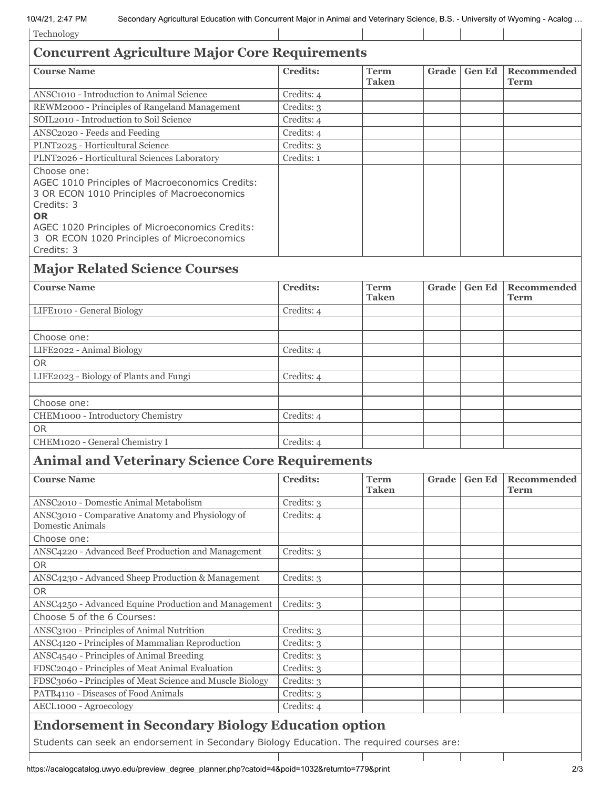| Technology                                                                                                                                                                                                                                               |                 |                             |       |               |                            |  |
|----------------------------------------------------------------------------------------------------------------------------------------------------------------------------------------------------------------------------------------------------------|-----------------|-----------------------------|-------|---------------|----------------------------|--|
| <b>Concurrent Agriculture Major Core Requirements</b>                                                                                                                                                                                                    |                 |                             |       |               |                            |  |
| <b>Course Name</b>                                                                                                                                                                                                                                       | <b>Credits:</b> | <b>Term</b><br><b>Taken</b> | Grade | <b>Gen Ed</b> | Recommended<br><b>Term</b> |  |
| ANSC1010 - Introduction to Animal Science                                                                                                                                                                                                                | Credits: 4      |                             |       |               |                            |  |
| REWM2000 - Principles of Rangeland Management                                                                                                                                                                                                            | Credits: 3      |                             |       |               |                            |  |
| SOIL2010 - Introduction to Soil Science                                                                                                                                                                                                                  | Credits: 4      |                             |       |               |                            |  |
| ANSC2020 - Feeds and Feeding                                                                                                                                                                                                                             | Credits: 4      |                             |       |               |                            |  |
| PLNT2025 - Horticultural Science                                                                                                                                                                                                                         | Credits: 3      |                             |       |               |                            |  |
| PLNT2026 - Horticultural Sciences Laboratory                                                                                                                                                                                                             | Credits: 1      |                             |       |               |                            |  |
| Choose one:<br>AGEC 1010 Principles of Macroeconomics Credits:<br>3 OR ECON 1010 Principles of Macroeconomics<br>Credits: 3<br><b>OR</b><br>AGEC 1020 Principles of Microeconomics Credits:<br>3 OR ECON 1020 Principles of Microeconomics<br>Credits: 3 |                 |                             |       |               |                            |  |
| <b>Major Related Science Courses</b>                                                                                                                                                                                                                     |                 |                             |       |               |                            |  |
| <b>Course Name</b>                                                                                                                                                                                                                                       | <b>Credits:</b> | <b>Term</b><br><b>Taken</b> | Grade | <b>Gen Ed</b> | <b>Recommended</b><br>Term |  |
| LIFE1010 - General Biology                                                                                                                                                                                                                               | Credits: 4      |                             |       |               |                            |  |
|                                                                                                                                                                                                                                                          |                 |                             |       |               |                            |  |
| Choose one:                                                                                                                                                                                                                                              |                 |                             |       |               |                            |  |
| LIFE2022 - Animal Biology                                                                                                                                                                                                                                | Credits: 4      |                             |       |               |                            |  |
| <b>OR</b>                                                                                                                                                                                                                                                |                 |                             |       |               |                            |  |
| LIFE2023 - Biology of Plants and Fungi                                                                                                                                                                                                                   | Credits: 4      |                             |       |               |                            |  |
|                                                                                                                                                                                                                                                          |                 |                             |       |               |                            |  |
| Choose one:                                                                                                                                                                                                                                              |                 |                             |       |               |                            |  |
| CHEM1000 - Introductory Chemistry                                                                                                                                                                                                                        | Credits: 4      |                             |       |               |                            |  |
| <b>OR</b>                                                                                                                                                                                                                                                |                 |                             |       |               |                            |  |
| CHEM1020 - General Chemistry I                                                                                                                                                                                                                           | Credits: 4      |                             |       |               |                            |  |
| <b>Animal and Veterinary Science Core Requirements</b>                                                                                                                                                                                                   |                 |                             |       |               |                            |  |
| <b>Course Name</b>                                                                                                                                                                                                                                       | <b>Credits:</b> | <b>Term</b><br><b>Taken</b> | Grade | <b>Gen Ed</b> | Recommended<br><b>Term</b> |  |
| ANSC2010 - Domestic Animal Metabolism                                                                                                                                                                                                                    | Credits: 3      |                             |       |               |                            |  |
| ANSC3010 - Comparative Anatomy and Physiology of                                                                                                                                                                                                         | Credits: 4      |                             |       |               |                            |  |
| Domestic Animals                                                                                                                                                                                                                                         |                 |                             |       |               |                            |  |
| Choose one:                                                                                                                                                                                                                                              |                 |                             |       |               |                            |  |
| ANSC4220 - Advanced Beef Production and Management                                                                                                                                                                                                       | Credits: 3      |                             |       |               |                            |  |
| <b>OR</b>                                                                                                                                                                                                                                                |                 |                             |       |               |                            |  |
| ANSC4230 - Advanced Sheep Production & Management                                                                                                                                                                                                        | Credits: 3      |                             |       |               |                            |  |
| <b>OR</b>                                                                                                                                                                                                                                                |                 |                             |       |               |                            |  |
| ANSC4250 - Advanced Equine Production and Management                                                                                                                                                                                                     | Credits: 3      |                             |       |               |                            |  |
| Choose 5 of the 6 Courses:                                                                                                                                                                                                                               |                 |                             |       |               |                            |  |
| ANSC3100 - Principles of Animal Nutrition                                                                                                                                                                                                                | Credits: 3      |                             |       |               |                            |  |
| ANSC4120 - Principles of Mammalian Reproduction                                                                                                                                                                                                          | Credits: 3      |                             |       |               |                            |  |
| ANSC4540 - Principles of Animal Breeding                                                                                                                                                                                                                 | Credits: 3      |                             |       |               |                            |  |
| FDSC2040 - Principles of Meat Animal Evaluation                                                                                                                                                                                                          | Credits: 3      |                             |       |               |                            |  |
| FDSC3060 - Principles of Meat Science and Muscle Biology                                                                                                                                                                                                 | Credits: 3      |                             |       |               |                            |  |
| PATB4110 - Diseases of Food Animals                                                                                                                                                                                                                      | Credits: 3      |                             |       |               |                            |  |
| AECL1000 - Agroecology                                                                                                                                                                                                                                   | Credits: 4      |                             |       |               |                            |  |
|                                                                                                                                                                                                                                                          |                 |                             |       |               |                            |  |
| <b>Endorsement in Secondary Biology Education option</b>                                                                                                                                                                                                 |                 |                             |       |               |                            |  |
| Students can seek an endorsement in Secondary Biology Education. The required courses are:                                                                                                                                                               |                 |                             |       |               |                            |  |

 $\mathbf{I}$ 

Τ